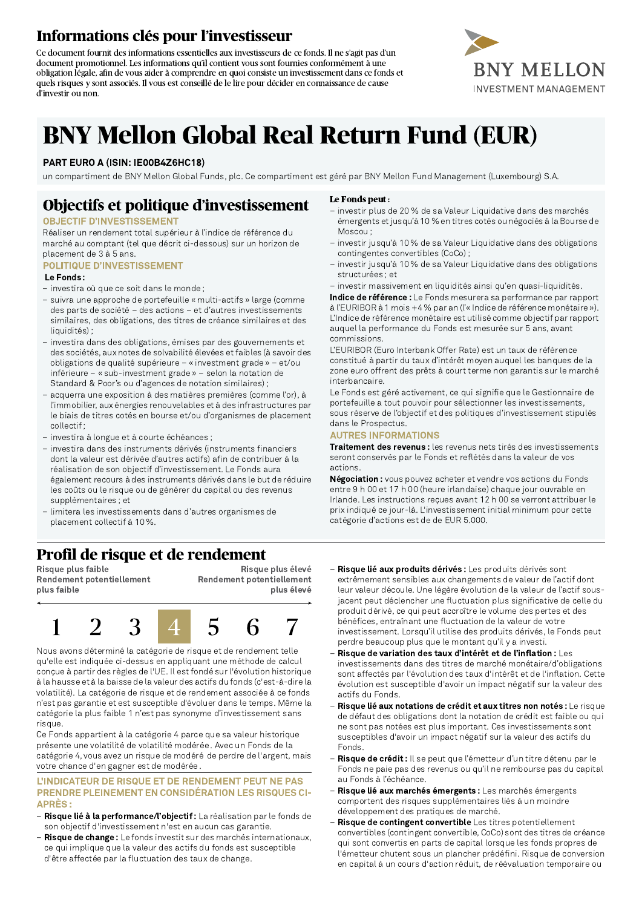# Informations clés pour l'investisseur

Ce document fournit des informations essentielles aux investisseurs de ce fonds. Il ne s'agit pas d'un document promotionnel. Les informations qu'il contient vous sont fournies conformément à une obligation légale, afin de vous aider à comprendre en quoi consiste un investissement dans ce fonds et quels risques y sont associés. Il vous est conseillé de le lire pour décider en connaissance de cause d'investir ou non.



# **BNY Mellon Global Real Return Fund (EUR)**

#### PART EURO A (ISIN: IE00B4Z6HC18)

un compartiment de BNY Mellon Global Funds, plc. Ce compartiment est géré par BNY Mellon Fund Management (Luxembourg) S.A.

# Objectifs et politique d'investissement

#### **OBJECTIF D'INVESTISSEMENT**

Réaliser un rendement total supérieur à l'indice de référence du marché au comptant (tel que décrit ci-dessous) sur un horizon de placement de 3 à 5 ans.

#### **POLITIQUE D'INVESTISSEMENT** Le Fonds:

- investira où que ce soit dans le monde;
- suivra une approche de portefeuille « multi-actifs » large (comme des parts de société - des actions - et d'autres investissements similaires, des obligations, des titres de créance similaires et des liquidités):
- investira dans des obligations, émises par des gouvernements et des sociétés, aux notes de solvabilité élevées et faibles (à savoir des obligations de qualité supérieure - « investment grade » - et/ou inférieure - « sub-investment grade » - selon la notation de Standard & Poor's ou d'agences de notation similaires);
- acquerra une exposition à des matières premières (comme l'or), à l'immobilier, aux énergies renouvelables et à des infrastructures par le biais de titres cotés en bourse et/ou d'organismes de placement collectif:
- investira à longue et à courte échéances;
- investira dans des instruments dérivés (instruments financiers dont la valeur est dérivée d'autres actifs) afin de contribuer à la réalisation de son objectif d'investissement. Le Fonds aura également recours à des instruments dérivés dans le but de réduire les coûts ou le risque ou de générer du capital ou des revenus supplémentaires : et
- limitera les investissements dans d'autres organismes de placement collectif à 10%.

## Profil de risque et de rendement

Risque plus faible **Rendement potentiellement** plus faible

Risque plus élevé **Rendement potentiellement** plus élevé



Nous avons déterminé la catégorie de risque et de rendement telle qu'elle est indiquée ci-dessus en appliquant une méthode de calcul conçue à partir des règles de l'UE. Il est fondé sur l'évolution historique à la hausse et à la baisse de la valeur des actifs du fonds (c'est-à-dire la volatilité). La catégorie de risque et de rendement associée à ce fonds n'est pas garantie et est susceptible d'évoluer dans le temps. Même la catégorie la plus faible 1 n'est pas synonyme d'investissement sans risque.

Ce Fonds appartient à la catégorie 4 parce que sa valeur historique présente une volatilité de volatilité modérée . Avec un Fonds de la catégorie 4, vous avez un risque de modéré de perdre de l'argent, mais votre chance d'en gagner est de modérée

#### **L'INDICATEUR DE RISQUE ET DE RENDEMENT PEUT NE PAS PRENDRE PLEINEMENT EN CONSIDÉRATION LES RISQUES CI-APRÈS:**

- Risque lié à la performance/l'objectif : La réalisation par le fonds de son objectif d'investissement n'est en aucun cas garantie.
- Risque de change : Le fonds investit sur des marchés internationaux, ce qui implique que la valeur des actifs du fonds est susceptible d'être affectée par la fluctuation des taux de change.

#### Le Fonds peut:

- investir plus de 20 % de sa Valeur Liquidative dans des marchés émergents et jusqu'à 10 % en titres cotés ou négociés à la Bourse de Moscou:
- investir jusqu'à 10 % de sa Valeur Liquidative dans des obligations contingentes convertibles (CoCo);
- investir jusqu'à 10 % de sa Valeur Liquidative dans des obligations structurées; et
- investir massivement en liquidités ainsi qu'en quasi-liquidités.

Indice de référence : Le Fonds mesurera sa performance par rapport à l'EURIBOR à 1 mois +4 % par an (l'« Indice de référence monétaire »). L'Indice de référence monétaire est utilisé comme objectif par rapport auquel la performance du Fonds est mesurée sur 5 ans, avant commissions

L'EURIBOR (Euro Interbank Offer Rate) est un taux de référence constitué à partir du taux d'intérêt moyen auquel les banques de la zone euro offrent des prêts à court terme non garantis sur le marché interbancaire

Le Fonds est géré activement, ce qui signifie que le Gestionnaire de portefeuille a tout pouvoir pour sélectionner les investissements, sous réserve de l'objectif et des politiques d'investissement stipulés dans le Prospectus.

#### **AUTRES INFORMATIONS**

Traitement des revenus : les revenus nets tirés des investissements seront conservés par le Fonds et reflétés dans la valeur de vos actions

Négociation: vous pouvez acheter et vendre vos actions du Fonds entre 9 h 00 et 17 h 00 (heure irlandaise) chaque jour ouvrable en Irlande. Les instructions recues avant 12 h 00 se verront attribuer le prix indiqué ce jour-là. L'investissement initial minimum pour cette catégorie d'actions est de de EUR 5.000.

- Risque lié aux produits dérivés : Les produits dérivés sont extrêmement sensibles aux changements de valeur de l'actif dont leur valeur découle. Une légère évolution de la valeur de l'actif sousjacent peut déclencher une fluctuation plus significative de celle du produit dérivé, ce qui peut accroître le volume des pertes et des bénéfices, entraînant une fluctuation de la valeur de votre investissement. Lorsqu'il utilise des produits dérivés, le Fonds peut perdre beaucoup plus que le montant qu'il y a investi.
- Risque de variation des taux d'intérêt et de l'inflation : Les investissements dans des titres de marché monétaire/d'obligations sont affectés par l'évolution des taux d'intérêt et de l'inflation. Cette évolution est susceptible d'avoir un impact négatif sur la valeur des actifs du Fonds.
- Risque lié aux notations de crédit et aux titres non notés : Le risque de défaut des obligations dont la notation de crédit est faible ou qui ne sont pas notées est plus important. Ces investissements sont susceptibles d'avoir un impact négatif sur la valeur des actifs du Fonds
- Risque de crédit : Il se peut que l'émetteur d'un titre détenu par le Fonds ne paie pas des revenus ou qu'il ne rembourse pas du capital au Fonds à l'échéance.
- Risque lié aux marchés émergents : Les marchés émergents comportent des risques supplémentaires liés à un moindre développement des pratiques de marché.
- Risque de contingent convertible Les titres potentiellement convertibles (contingent convertible, CoCo) sont des titres de créance qui sont convertis en parts de capital lorsque les fonds propres de l'émetteur chutent sous un plancher prédéfini. Risque de conversion en capital à un cours d'action réduit, de réévaluation temporaire ou